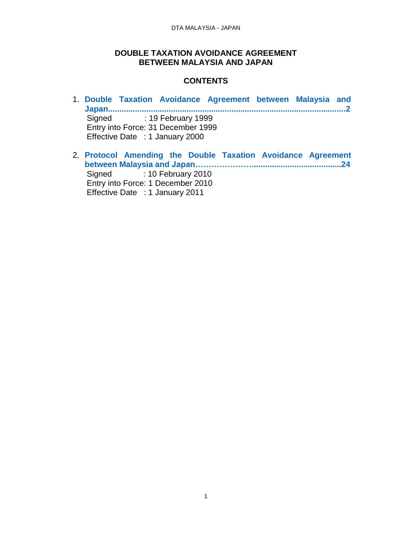#### **DOUBLE TAXATION AVOIDANCE AGREEMENT BETWEEN MALAYSIA AND JAPAN**

#### **CONTENTS**

- 1. **[Double Taxation Avoidance Agreement between Malaysia and](#page-1-0)  [Japan..........................................................................................................2](#page-1-0)** Signed : 19 February 1999 Entry into Force: 31 December 1999 Effective Date : 1 January 2000
- 2. **[Protocol Amending the Double Taxation Avoidance Agreement](#page-23-0)  [between Malaysia and Japan…………………........................................24](#page-23-0)** Signed : 10 February 2010 Entry into Force: 1 December 2010 Effective Date : 1 January 2011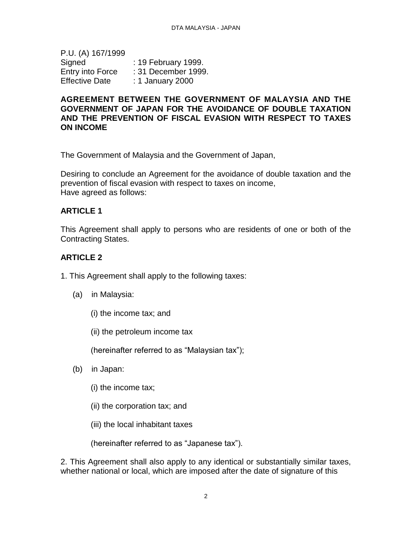<span id="page-1-0"></span>P.U. (A) 167/1999 Signed : 19 February 1999. Entry into Force : 31 December 1999. Effective Date : 1 January 2000

#### **AGREEMENT BETWEEN THE GOVERNMENT OF MALAYSIA AND THE GOVERNMENT OF JAPAN FOR THE AVOIDANCE OF DOUBLE TAXATION AND THE PREVENTION OF FISCAL EVASION WITH RESPECT TO TAXES ON INCOME**

The Government of Malaysia and the Government of Japan,

Desiring to conclude an Agreement for the avoidance of double taxation and the prevention of fiscal evasion with respect to taxes on income, Have agreed as follows:

#### **ARTICLE 1**

This Agreement shall apply to persons who are residents of one or both of the Contracting States.

#### **ARTICLE 2**

- 1. This Agreement shall apply to the following taxes:
	- (a) in Malaysia:
		- (i) the income tax; and
		- (ii) the petroleum income tax

(hereinafter referred to as "Malaysian tax");

- (b) in Japan:
	- (i) the income tax;
	- (ii) the corporation tax; and
	- (iii) the local inhabitant taxes

(hereinafter referred to as "Japanese tax").

2. This Agreement shall also apply to any identical or substantially similar taxes, whether national or local, which are imposed after the date of signature of this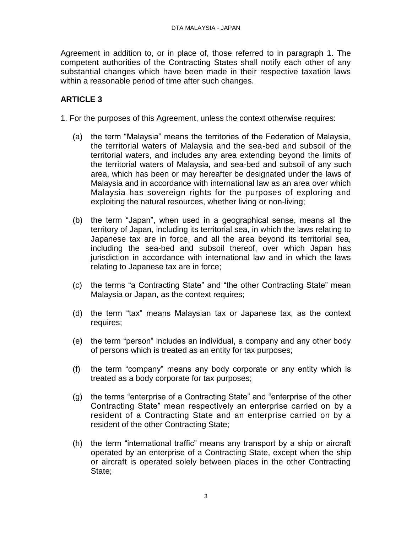Agreement in addition to, or in place of, those referred to in paragraph 1. The competent authorities of the Contracting States shall notify each other of any substantial changes which have been made in their respective taxation laws within a reasonable period of time after such changes.

# **ARTICLE 3**

1. For the purposes of this Agreement, unless the context otherwise requires:

- (a) the term "Malaysia" means the territories of the Federation of Malaysia, the territorial waters of Malaysia and the sea-bed and subsoil of the territorial waters, and includes any area extending beyond the limits of the territorial waters of Malaysia, and sea-bed and subsoil of any such area, which has been or may hereafter be designated under the laws of Malaysia and in accordance with international law as an area over which Malaysia has sovereign rights for the purposes of exploring and exploiting the natural resources, whether living or non-living;
- (b) the term "Japan", when used in a geographical sense, means all the territory of Japan, including its territorial sea, in which the laws relating to Japanese tax are in force, and all the area beyond its territorial sea, including the sea-bed and subsoil thereof, over which Japan has jurisdiction in accordance with international law and in which the laws relating to Japanese tax are in force;
- (c) the terms "a Contracting State" and "the other Contracting State" mean Malaysia or Japan, as the context requires;
- (d) the term "tax" means Malaysian tax or Japanese tax, as the context requires;
- (e) the term "person" includes an individual, a company and any other body of persons which is treated as an entity for tax purposes;
- (f) the term "company" means any body corporate or any entity which is treated as a body corporate for tax purposes;
- (g) the terms "enterprise of a Contracting State" and "enterprise of the other Contracting State" mean respectively an enterprise carried on by a resident of a Contracting State and an enterprise carried on by a resident of the other Contracting State;
- (h) the term "international traffic" means any transport by a ship or aircraft operated by an enterprise of a Contracting State, except when the ship or aircraft is operated solely between places in the other Contracting State;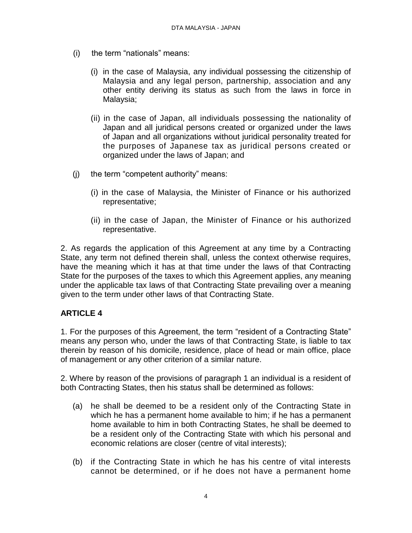- (i) the term "nationals" means:
	- (i) in the case of Malaysia, any individual possessing the citizenship of Malaysia and any legal person, partnership, association and any other entity deriving its status as such from the laws in force in Malaysia;
	- (ii) in the case of Japan, all individuals possessing the nationality of Japan and all juridical persons created or organized under the laws of Japan and all organizations without juridical personality treated for the purposes of Japanese tax as juridical persons created or organized under the laws of Japan; and
- (j) the term "competent authority" means:
	- (i) in the case of Malaysia, the Minister of Finance or his authorized representative;
	- (ii) in the case of Japan, the Minister of Finance or his authorized representative.

2. As regards the application of this Agreement at any time by a Contracting State, any term not defined therein shall, unless the context otherwise requires, have the meaning which it has at that time under the laws of that Contracting State for the purposes of the taxes to which this Agreement applies, any meaning under the applicable tax laws of that Contracting State prevailing over a meaning given to the term under other laws of that Contracting State.

# **ARTICLE 4**

1. For the purposes of this Agreement, the term "resident of a Contracting State" means any person who, under the laws of that Contracting State, is liable to tax therein by reason of his domicile, residence, place of head or main office, place of management or any other criterion of a similar nature.

2. Where by reason of the provisions of paragraph 1 an individual is a resident of both Contracting States, then his status shall be determined as follows:

- (a) he shall be deemed to be a resident only of the Contracting State in which he has a permanent home available to him; if he has a permanent home available to him in both Contracting States, he shall be deemed to be a resident only of the Contracting State with which his personal and economic relations are closer (centre of vital interests);
- (b) if the Contracting State in which he has his centre of vital interests cannot be determined, or if he does not have a permanent home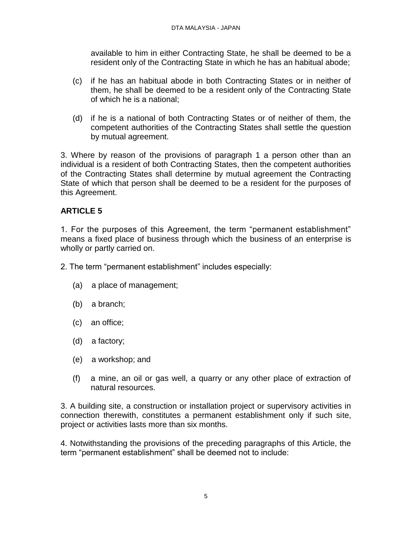available to him in either Contracting State, he shall be deemed to be a resident only of the Contracting State in which he has an habitual abode;

- (c) if he has an habitual abode in both Contracting States or in neither of them, he shall be deemed to be a resident only of the Contracting State of which he is a national;
- (d) if he is a national of both Contracting States or of neither of them, the competent authorities of the Contracting States shall settle the question by mutual agreement.

3. Where by reason of the provisions of paragraph 1 a person other than an individual is a resident of both Contracting States, then the competent authorities of the Contracting States shall determine by mutual agreement the Contracting State of which that person shall be deemed to be a resident for the purposes of this Agreement.

# **ARTICLE 5**

1. For the purposes of this Agreement, the term "permanent establishment" means a fixed place of business through which the business of an enterprise is wholly or partly carried on.

- 2. The term "permanent establishment" includes especially:
	- (a) a place of management;
	- (b) a branch;
	- (c) an office;
	- (d) a factory;
	- (e) a workshop; and
	- (f) a mine, an oil or gas well, a quarry or any other place of extraction of natural resources.

3. A building site, a construction or installation project or supervisory activities in connection therewith, constitutes a permanent establishment only if such site, project or activities lasts more than six months.

4. Notwithstanding the provisions of the preceding paragraphs of this Article, the term "permanent establishment" shall be deemed not to include: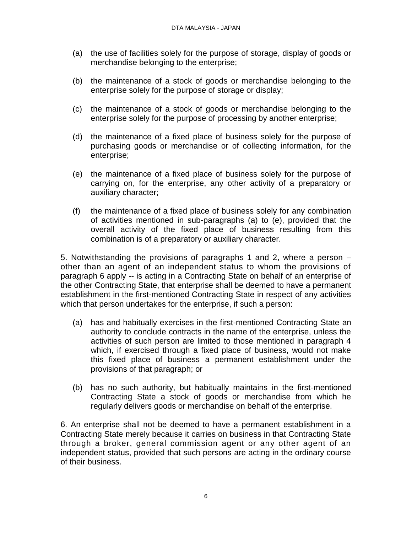- (a) the use of facilities solely for the purpose of storage, display of goods or merchandise belonging to the enterprise;
- (b) the maintenance of a stock of goods or merchandise belonging to the enterprise solely for the purpose of storage or display;
- (c) the maintenance of a stock of goods or merchandise belonging to the enterprise solely for the purpose of processing by another enterprise;
- (d) the maintenance of a fixed place of business solely for the purpose of purchasing goods or merchandise or of collecting information, for the enterprise;
- (e) the maintenance of a fixed place of business solely for the purpose of carrying on, for the enterprise, any other activity of a preparatory or auxiliary character;
- (f) the maintenance of a fixed place of business solely for any combination of activities mentioned in sub-paragraphs (a) to (e), provided that the overall activity of the fixed place of business resulting from this combination is of a preparatory or auxiliary character.

5. Notwithstanding the provisions of paragraphs 1 and 2, where a person – other than an agent of an independent status to whom the provisions of paragraph 6 apply -- is acting in a Contracting State on behalf of an enterprise of the other Contracting State, that enterprise shall be deemed to have a permanent establishment in the first-mentioned Contracting State in respect of any activities which that person undertakes for the enterprise, if such a person:

- (a) has and habitually exercises in the first-mentioned Contracting State an authority to conclude contracts in the name of the enterprise, unless the activities of such person are limited to those mentioned in paragraph 4 which, if exercised through a fixed place of business, would not make this fixed place of business a permanent establishment under the provisions of that paragraph; or
- (b) has no such authority, but habitually maintains in the first-mentioned Contracting State a stock of goods or merchandise from which he regularly delivers goods or merchandise on behalf of the enterprise.

6. An enterprise shall not be deemed to have a permanent establishment in a Contracting State merely because it carries on business in that Contracting State through a broker, general commission agent or any other agent of an independent status, provided that such persons are acting in the ordinary course of their business.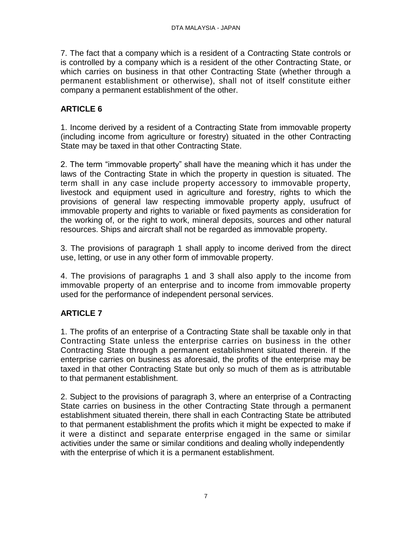7. The fact that a company which is a resident of a Contracting State controls or is controlled by a company which is a resident of the other Contracting State, or which carries on business in that other Contracting State (whether through a permanent establishment or otherwise), shall not of itself constitute either company a permanent establishment of the other.

# **ARTICLE 6**

1. Income derived by a resident of a Contracting State from immovable property (including income from agriculture or forestry) situated in the other Contracting State may be taxed in that other Contracting State.

2. The term "immovable property" shall have the meaning which it has under the laws of the Contracting State in which the property in question is situated. The term shall in any case include property accessory to immovable property, livestock and equipment used in agriculture and forestry, rights to which the provisions of general law respecting immovable property apply, usufruct of immovable property and rights to variable or fixed payments as consideration for the working of, or the right to work, mineral deposits, sources and other natural resources. Ships and aircraft shall not be regarded as immovable property.

3. The provisions of paragraph 1 shall apply to income derived from the direct use, letting, or use in any other form of immovable property.

4. The provisions of paragraphs 1 and 3 shall also apply to the income from immovable property of an enterprise and to income from immovable property used for the performance of independent personal services.

# **ARTICLE 7**

1. The profits of an enterprise of a Contracting State shall be taxable only in that Contracting State unless the enterprise carries on business in the other Contracting State through a permanent establishment situated therein. If the enterprise carries on business as aforesaid, the profits of the enterprise may be taxed in that other Contracting State but only so much of them as is attributable to that permanent establishment.

2. Subject to the provisions of paragraph 3, where an enterprise of a Contracting State carries on business in the other Contracting State through a permanent establishment situated therein, there shall in each Contracting State be attributed to that permanent establishment the profits which it might be expected to make if it were a distinct and separate enterprise engaged in the same or similar activities under the same or similar conditions and dealing wholly independently with the enterprise of which it is a permanent establishment.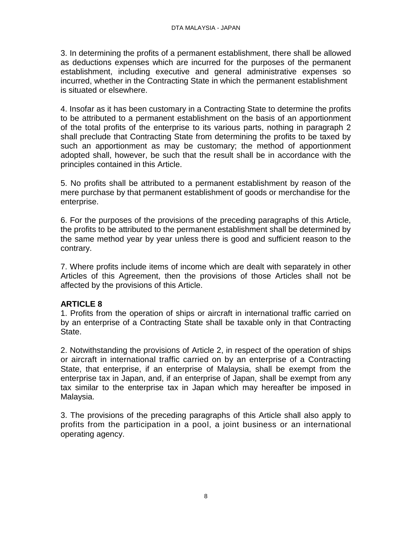3. In determining the profits of a permanent establishment, there shall be allowed as deductions expenses which are incurred for the purposes of the permanent establishment, including executive and general administrative expenses so incurred, whether in the Contracting State in which the permanent establishment is situated or elsewhere.

4. Insofar as it has been customary in a Contracting State to determine the profits to be attributed to a permanent establishment on the basis of an apportionment of the total profits of the enterprise to its various parts, nothing in paragraph 2 shall preclude that Contracting State from determining the profits to be taxed by such an apportionment as may be customary; the method of apportionment adopted shall, however, be such that the result shall be in accordance with the principles contained in this Article.

5. No profits shall be attributed to a permanent establishment by reason of the mere purchase by that permanent establishment of goods or merchandise for the enterprise.

6. For the purposes of the provisions of the preceding paragraphs of this Article, the profits to be attributed to the permanent establishment shall be determined by the same method year by year unless there is good and sufficient reason to the contrary.

7. Where profits include items of income which are dealt with separately in other Articles of this Agreement, then the provisions of those Articles shall not be affected by the provisions of this Article.

#### **ARTICLE 8**

1. Profits from the operation of ships or aircraft in international traffic carried on by an enterprise of a Contracting State shall be taxable only in that Contracting State.

2. Notwithstanding the provisions of Article 2, in respect of the operation of ships or aircraft in international traffic carried on by an enterprise of a Contracting State, that enterprise, if an enterprise of Malaysia, shall be exempt from the enterprise tax in Japan, and, if an enterprise of Japan, shall be exempt from any tax similar to the enterprise tax in Japan which may hereafter be imposed in Malaysia.

3. The provisions of the preceding paragraphs of this Article shall also apply to profits from the participation in a pool, a joint business or an international operating agency.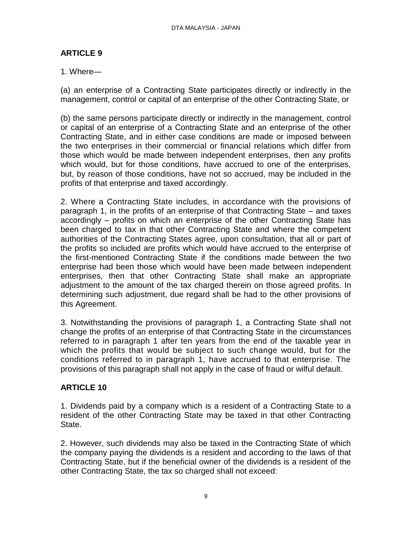# **ARTICLE 9**

#### 1. Where—

(a) an enterprise of a Contracting State participates directly or indirectly in the management, control or capital of an enterprise of the other Contracting State, or

(b) the same persons participate directly or indirectly in the management, control or capital of an enterprise of a Contracting State and an enterprise of the other Contracting State, and in either case conditions are made or imposed between the two enterprises in their commercial or financial relations which differ from those which would be made between independent enterprises, then any profits which would, but for those conditions, have accrued to one of the enterprises, but, by reason of those conditions, have not so accrued, may be included in the profits of that enterprise and taxed accordingly.

2. Where a Contracting State includes, in accordance with the provisions of paragraph 1, in the profits of an enterprise of that Contracting State – and taxes accordingly – profits on which an enterprise of the other Contracting State has been charged to tax in that other Contracting State and where the competent authorities of the Contracting States agree, upon consultation, that all or part of the profits so included are profits which would have accrued to the enterprise of the first-mentioned Contracting State if the conditions made between the two enterprise had been those which would have been made between independent enterprises, then that other Contracting State shall make an appropriate adjustment to the amount of the tax charged therein on those agreed profits. In determining such adjustment, due regard shall be had to the other provisions of this Agreement.

3. Notwithstanding the provisions of paragraph 1, a Contracting State shall not change the profits of an enterprise of that Contracting State in the circumstances referred to in paragraph 1 after ten years from the end of the taxable year in which the profits that would be subject to such change would, but for the conditions referred to in paragraph 1, have accrued to that enterprise. The provisions of this paragraph shall not apply in the case of fraud or wilful default.

# **ARTICLE 10**

1. Dividends paid by a company which is a resident of a Contracting State to a resident of the other Contracting State may be taxed in that other Contracting State.

2. However, such dividends may also be taxed in the Contracting State of which the company paying the dividends is a resident and according to the laws of that Contracting State, but if the beneficial owner of the dividends is a resident of the other Contracting State, the tax so charged shall not exceed: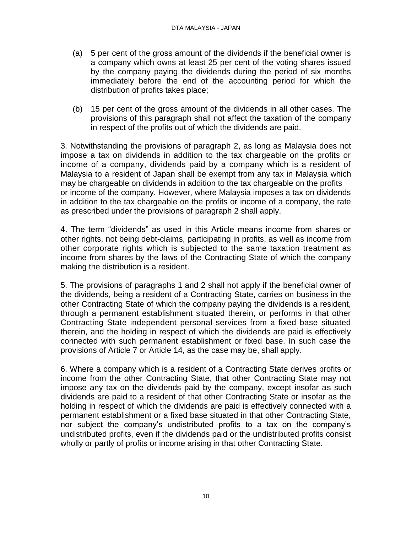- (a) 5 per cent of the gross amount of the dividends if the beneficial owner is a company which owns at least 25 per cent of the voting shares issued by the company paying the dividends during the period of six months immediately before the end of the accounting period for which the distribution of profits takes place;
- (b) 15 per cent of the gross amount of the dividends in all other cases. The provisions of this paragraph shall not affect the taxation of the company in respect of the profits out of which the dividends are paid.

3. Notwithstanding the provisions of paragraph 2, as long as Malaysia does not impose a tax on dividends in addition to the tax chargeable on the profits or income of a company, dividends paid by a company which is a resident of Malaysia to a resident of Japan shall be exempt from any tax in Malaysia which may be chargeable on dividends in addition to the tax chargeable on the profits or income of the company. However, where Malaysia imposes a tax on dividends in addition to the tax chargeable on the profits or income of a company, the rate as prescribed under the provisions of paragraph 2 shall apply.

4. The term "dividends" as used in this Article means income from shares or other rights, not being debt-claims, participating in profits, as well as income from other corporate rights which is subjected to the same taxation treatment as income from shares by the laws of the Contracting State of which the company making the distribution is a resident.

5. The provisions of paragraphs 1 and 2 shall not apply if the beneficial owner of the dividends, being a resident of a Contracting State, carries on business in the other Contracting State of which the company paying the dividends is a resident, through a permanent establishment situated therein, or performs in that other Contracting State independent personal services from a fixed base situated therein, and the holding in respect of which the dividends are paid is effectively connected with such permanent establishment or fixed base. In such case the provisions of Article 7 or Article 14, as the case may be, shall apply.

6. Where a company which is a resident of a Contracting State derives profits or income from the other Contracting State, that other Contracting State may not impose any tax on the dividends paid by the company, except insofar as such dividends are paid to a resident of that other Contracting State or insofar as the holding in respect of which the dividends are paid is effectively connected with a permanent establishment or a fixed base situated in that other Contracting State, nor subject the company's undistributed profits to a tax on the company's undistributed profits, even if the dividends paid or the undistributed profits consist wholly or partly of profits or income arising in that other Contracting State.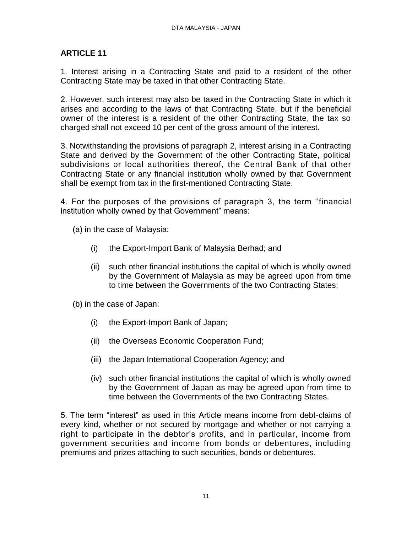# **ARTICLE 11**

1. Interest arising in a Contracting State and paid to a resident of the other Contracting State may be taxed in that other Contracting State.

2. However, such interest may also be taxed in the Contracting State in which it arises and according to the laws of that Contracting State, but if the beneficial owner of the interest is a resident of the other Contracting State, the tax so charged shall not exceed 10 per cent of the gross amount of the interest.

3. Notwithstanding the provisions of paragraph 2, interest arising in a Contracting State and derived by the Government of the other Contracting State, political subdivisions or local authorities thereof, the Central Bank of that other Contracting State or any financial institution wholly owned by that Government shall be exempt from tax in the first-mentioned Contracting State.

4. For the purposes of the provisions of paragraph 3, the term "financial institution wholly owned by that Government" means:

(a) in the case of Malaysia:

- (i) the Export-Import Bank of Malaysia Berhad; and
- (ii) such other financial institutions the capital of which is wholly owned by the Government of Malaysia as may be agreed upon from time to time between the Governments of the two Contracting States;

(b) in the case of Japan:

- (i) the Export-Import Bank of Japan;
- (ii) the Overseas Economic Cooperation Fund;
- (iii) the Japan International Cooperation Agency; and
- (iv) such other financial institutions the capital of which is wholly owned by the Government of Japan as may be agreed upon from time to time between the Governments of the two Contracting States.

5. The term "interest" as used in this Article means income from debt-claims of every kind, whether or not secured by mortgage and whether or not carrying a right to participate in the debtor's profits, and in particular, income from government securities and income from bonds or debentures, including premiums and prizes attaching to such securities, bonds or debentures.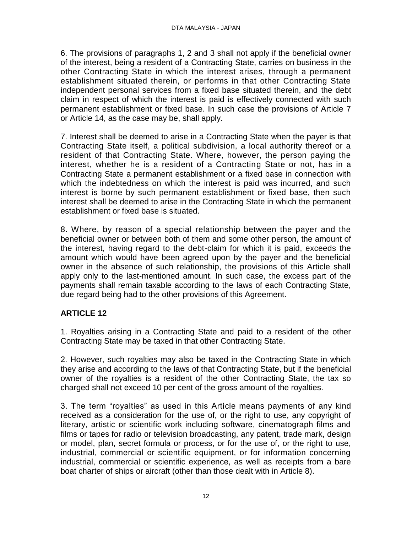6. The provisions of paragraphs 1, 2 and 3 shall not apply if the beneficial owner of the interest, being a resident of a Contracting State, carries on business in the other Contracting State in which the interest arises, through a permanent establishment situated therein, or performs in that other Contracting State independent personal services from a fixed base situated therein, and the debt claim in respect of which the interest is paid is effectively connected with such permanent establishment or fixed base. In such case the provisions of Article 7 or Article 14, as the case may be, shall apply.

7. Interest shall be deemed to arise in a Contracting State when the payer is that Contracting State itself, a political subdivision, a local authority thereof or a resident of that Contracting State. Where, however, the person paying the interest, whether he is a resident of a Contracting State or not, has in a Contracting State a permanent establishment or a fixed base in connection with which the indebtedness on which the interest is paid was incurred, and such interest is borne by such permanent establishment or fixed base, then such interest shall be deemed to arise in the Contracting State in which the permanent establishment or fixed base is situated.

8. Where, by reason of a special relationship between the payer and the beneficial owner or between both of them and some other person, the amount of the interest, having regard to the debt-claim for which it is paid, exceeds the amount which would have been agreed upon by the payer and the beneficial owner in the absence of such relationship, the provisions of this Article shall apply only to the last-mentioned amount. In such case, the excess part of the payments shall remain taxable according to the laws of each Contracting State, due regard being had to the other provisions of this Agreement.

#### **ARTICLE 12**

1. Royalties arising in a Contracting State and paid to a resident of the other Contracting State may be taxed in that other Contracting State.

2. However, such royalties may also be taxed in the Contracting State in which they arise and according to the laws of that Contracting State, but if the beneficial owner of the royalties is a resident of the other Contracting State, the tax so charged shall not exceed 10 per cent of the gross amount of the royalties.

3. The term "royalties" as used in this Article means payments of any kind received as a consideration for the use of, or the right to use, any copyright of literary, artistic or scientific work including software, cinematograph films and films or tapes for radio or television broadcasting, any patent, trade mark, design or model, plan, secret formula or process, or for the use of, or the right to use, industrial, commercial or scientific equipment, or for information concerning industrial, commercial or scientific experience, as well as receipts from a bare boat charter of ships or aircraft (other than those dealt with in Article 8).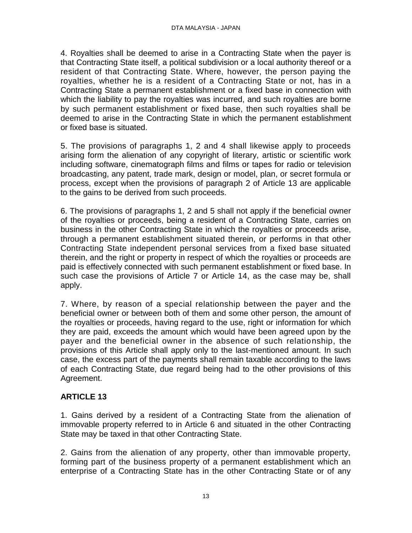4. Royalties shall be deemed to arise in a Contracting State when the payer is that Contracting State itself, a political subdivision or a local authority thereof or a resident of that Contracting State. Where, however, the person paying the royalties, whether he is a resident of a Contracting State or not, has in a Contracting State a permanent establishment or a fixed base in connection with which the liability to pay the royalties was incurred, and such royalties are borne by such permanent establishment or fixed base, then such royalties shall be deemed to arise in the Contracting State in which the permanent establishment or fixed base is situated.

5. The provisions of paragraphs 1, 2 and 4 shall likewise apply to proceeds arising form the alienation of any copyright of literary, artistic or scientific work including software, cinematograph films and films or tapes for radio or television broadcasting, any patent, trade mark, design or model, plan, or secret formula or process, except when the provisions of paragraph 2 of Article 13 are applicable to the gains to be derived from such proceeds.

6. The provisions of paragraphs 1, 2 and 5 shall not apply if the beneficial owner of the royalties or proceeds, being a resident of a Contracting State, carries on business in the other Contracting State in which the royalties or proceeds arise, through a permanent establishment situated therein, or performs in that other Contracting State independent personal services from a fixed base situated therein, and the right or property in respect of which the royalties or proceeds are paid is effectively connected with such permanent establishment or fixed base. In such case the provisions of Article 7 or Article 14, as the case may be, shall apply.

7. Where, by reason of a special relationship between the payer and the beneficial owner or between both of them and some other person, the amount of the royalties or proceeds, having regard to the use, right or information for which they are paid, exceeds the amount which would have been agreed upon by the payer and the beneficial owner in the absence of such relationship, the provisions of this Article shall apply only to the last-mentioned amount. In such case, the excess part of the payments shall remain taxable according to the laws of each Contracting State, due regard being had to the other provisions of this Agreement.

# **ARTICLE 13**

1. Gains derived by a resident of a Contracting State from the alienation of immovable property referred to in Article 6 and situated in the other Contracting State may be taxed in that other Contracting State.

2. Gains from the alienation of any property, other than immovable property, forming part of the business property of a permanent establishment which an enterprise of a Contracting State has in the other Contracting State or of any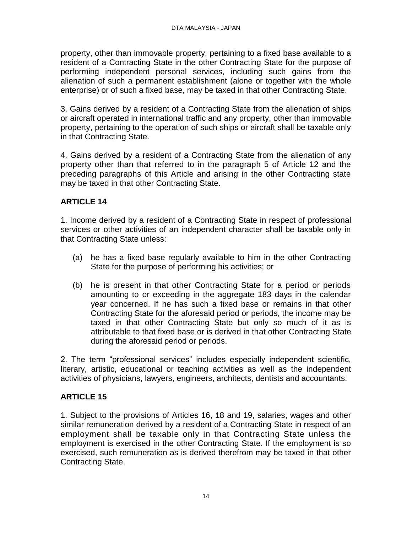property, other than immovable property, pertaining to a fixed base available to a resident of a Contracting State in the other Contracting State for the purpose of performing independent personal services, including such gains from the alienation of such a permanent establishment (alone or together with the whole enterprise) or of such a fixed base, may be taxed in that other Contracting State.

3. Gains derived by a resident of a Contracting State from the alienation of ships or aircraft operated in international traffic and any property, other than immovable property, pertaining to the operation of such ships or aircraft shall be taxable only in that Contracting State.

4. Gains derived by a resident of a Contracting State from the alienation of any property other than that referred to in the paragraph 5 of Article 12 and the preceding paragraphs of this Article and arising in the other Contracting state may be taxed in that other Contracting State.

# **ARTICLE 14**

1. Income derived by a resident of a Contracting State in respect of professional services or other activities of an independent character shall be taxable only in that Contracting State unless:

- (a) he has a fixed base regularly available to him in the other Contracting State for the purpose of performing his activities; or
- (b) he is present in that other Contracting State for a period or periods amounting to or exceeding in the aggregate 183 days in the calendar year concerned. If he has such a fixed base or remains in that other Contracting State for the aforesaid period or periods, the income may be taxed in that other Contracting State but only so much of it as is attributable to that fixed base or is derived in that other Contracting State during the aforesaid period or periods.

2. The term "professional services" includes especially independent scientific, literary, artistic, educational or teaching activities as well as the independent activities of physicians, lawyers, engineers, architects, dentists and accountants.

# **ARTICLE 15**

1. Subject to the provisions of Articles 16, 18 and 19, salaries, wages and other similar remuneration derived by a resident of a Contracting State in respect of an employment shall be taxable only in that Contracting State unless the employment is exercised in the other Contracting State. If the employment is so exercised, such remuneration as is derived therefrom may be taxed in that other Contracting State.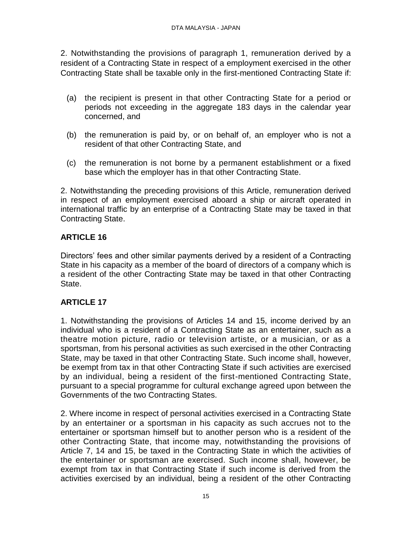2. Notwithstanding the provisions of paragraph 1, remuneration derived by a resident of a Contracting State in respect of a employment exercised in the other Contracting State shall be taxable only in the first-mentioned Contracting State if:

- (a) the recipient is present in that other Contracting State for a period or periods not exceeding in the aggregate 183 days in the calendar year concerned, and
- (b) the remuneration is paid by, or on behalf of, an employer who is not a resident of that other Contracting State, and
- (c) the remuneration is not borne by a permanent establishment or a fixed base which the employer has in that other Contracting State.

2. Notwithstanding the preceding provisions of this Article, remuneration derived in respect of an employment exercised aboard a ship or aircraft operated in international traffic by an enterprise of a Contracting State may be taxed in that Contracting State.

# **ARTICLE 16**

Directors' fees and other similar payments derived by a resident of a Contracting State in his capacity as a member of the board of directors of a company which is a resident of the other Contracting State may be taxed in that other Contracting State.

# **ARTICLE 17**

1. Notwithstanding the provisions of Articles 14 and 15, income derived by an individual who is a resident of a Contracting State as an entertainer, such as a theatre motion picture, radio or television artiste, or a musician, or as a sportsman, from his personal activities as such exercised in the other Contracting State, may be taxed in that other Contracting State. Such income shall, however, be exempt from tax in that other Contracting State if such activities are exercised by an individual, being a resident of the first-mentioned Contracting State, pursuant to a special programme for cultural exchange agreed upon between the Governments of the two Contracting States.

2. Where income in respect of personal activities exercised in a Contracting State by an entertainer or a sportsman in his capacity as such accrues not to the entertainer or sportsman himself but to another person who is a resident of the other Contracting State, that income may, notwithstanding the provisions of Article 7, 14 and 15, be taxed in the Contracting State in which the activities of the entertainer or sportsman are exercised. Such income shall, however, be exempt from tax in that Contracting State if such income is derived from the activities exercised by an individual, being a resident of the other Contracting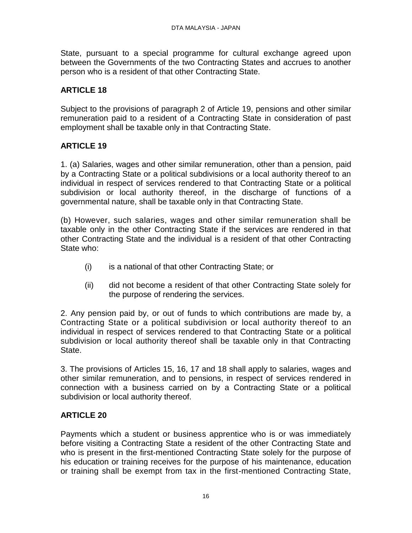State, pursuant to a special programme for cultural exchange agreed upon between the Governments of the two Contracting States and accrues to another person who is a resident of that other Contracting State.

# **ARTICLE 18**

Subject to the provisions of paragraph 2 of Article 19, pensions and other similar remuneration paid to a resident of a Contracting State in consideration of past employment shall be taxable only in that Contracting State.

#### **ARTICLE 19**

1. (a) Salaries, wages and other similar remuneration, other than a pension, paid by a Contracting State or a political subdivisions or a local authority thereof to an individual in respect of services rendered to that Contracting State or a political subdivision or local authority thereof, in the discharge of functions of a governmental nature, shall be taxable only in that Contracting State.

(b) However, such salaries, wages and other similar remuneration shall be taxable only in the other Contracting State if the services are rendered in that other Contracting State and the individual is a resident of that other Contracting State who:

- (i) is a national of that other Contracting State; or
- (ii) did not become a resident of that other Contracting State solely for the purpose of rendering the services.

2. Any pension paid by, or out of funds to which contributions are made by, a Contracting State or a political subdivision or local authority thereof to an individual in respect of services rendered to that Contracting State or a political subdivision or local authority thereof shall be taxable only in that Contracting State.

3. The provisions of Articles 15, 16, 17 and 18 shall apply to salaries, wages and other similar remuneration, and to pensions, in respect of services rendered in connection with a business carried on by a Contracting State or a political subdivision or local authority thereof.

#### **ARTICLE 20**

Payments which a student or business apprentice who is or was immediately before visiting a Contracting State a resident of the other Contracting State and who is present in the first-mentioned Contracting State solely for the purpose of his education or training receives for the purpose of his maintenance, education or training shall be exempt from tax in the first-mentioned Contracting State,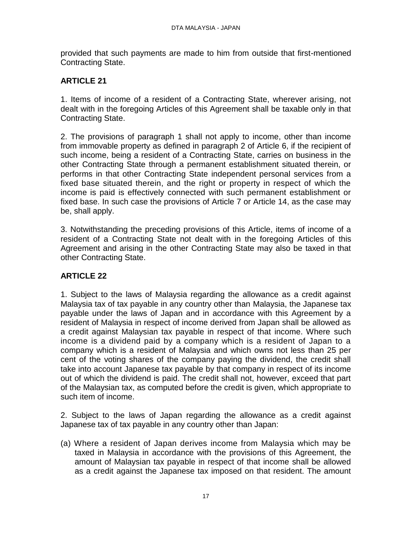provided that such payments are made to him from outside that first-mentioned Contracting State.

# **ARTICLE 21**

1. Items of income of a resident of a Contracting State, wherever arising, not dealt with in the foregoing Articles of this Agreement shall be taxable only in that Contracting State.

2. The provisions of paragraph 1 shall not apply to income, other than income from immovable property as defined in paragraph 2 of Article 6, if the recipient of such income, being a resident of a Contracting State, carries on business in the other Contracting State through a permanent establishment situated therein, or performs in that other Contracting State independent personal services from a fixed base situated therein, and the right or property in respect of which the income is paid is effectively connected with such permanent establishment or fixed base. In such case the provisions of Article 7 or Article 14, as the case may be, shall apply.

3. Notwithstanding the preceding provisions of this Article, items of income of a resident of a Contracting State not dealt with in the foregoing Articles of this Agreement and arising in the other Contracting State may also be taxed in that other Contracting State.

# **ARTICLE 22**

1. Subject to the laws of Malaysia regarding the allowance as a credit against Malaysia tax of tax payable in any country other than Malaysia, the Japanese tax payable under the laws of Japan and in accordance with this Agreement by a resident of Malaysia in respect of income derived from Japan shall be allowed as a credit against Malaysian tax payable in respect of that income. Where such income is a dividend paid by a company which is a resident of Japan to a company which is a resident of Malaysia and which owns not less than 25 per cent of the voting shares of the company paying the dividend, the credit shall take into account Japanese tax payable by that company in respect of its income out of which the dividend is paid. The credit shall not, however, exceed that part of the Malaysian tax, as computed before the credit is given, which appropriate to such item of income.

2. Subject to the laws of Japan regarding the allowance as a credit against Japanese tax of tax payable in any country other than Japan:

(a) Where a resident of Japan derives income from Malaysia which may be taxed in Malaysia in accordance with the provisions of this Agreement, the amount of Malaysian tax payable in respect of that income shall be allowed as a credit against the Japanese tax imposed on that resident. The amount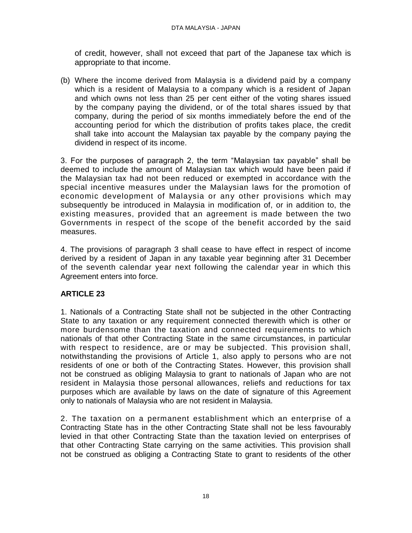of credit, however, shall not exceed that part of the Japanese tax which is appropriate to that income.

(b) Where the income derived from Malaysia is a dividend paid by a company which is a resident of Malaysia to a company which is a resident of Japan and which owns not less than 25 per cent either of the voting shares issued by the company paying the dividend, or of the total shares issued by that company, during the period of six months immediately before the end of the accounting period for which the distribution of profits takes place, the credit shall take into account the Malaysian tax payable by the company paying the dividend in respect of its income.

3. For the purposes of paragraph 2, the term "Malaysian tax payable" shall be deemed to include the amount of Malaysian tax which would have been paid if the Malaysian tax had not been reduced or exempted in accordance with the special incentive measures under the Malaysian laws for the promotion of economic development of Malaysia or any other provisions which may subsequently be introduced in Malaysia in modification of, or in addition to, the existing measures, provided that an agreement is made between the two Governments in respect of the scope of the benefit accorded by the said measures.

4. The provisions of paragraph 3 shall cease to have effect in respect of income derived by a resident of Japan in any taxable year beginning after 31 December of the seventh calendar year next following the calendar year in which this Agreement enters into force.

#### **ARTICLE 23**

1. Nationals of a Contracting State shall not be subjected in the other Contracting State to any taxation or any requirement connected therewith which is other or more burdensome than the taxation and connected requirements to which nationals of that other Contracting State in the same circumstances, in particular with respect to residence, are or may be subjected. This provision shall, notwithstanding the provisions of Article 1, also apply to persons who are not residents of one or both of the Contracting States. However, this provision shall not be construed as obliging Malaysia to grant to nationals of Japan who are not resident in Malaysia those personal allowances, reliefs and reductions for tax purposes which are available by laws on the date of signature of this Agreement only to nationals of Malaysia who are not resident in Malaysia.

2. The taxation on a permanent establishment which an enterprise of a Contracting State has in the other Contracting State shall not be less favourably levied in that other Contracting State than the taxation levied on enterprises of that other Contracting State carrying on the same activities. This provision shall not be construed as obliging a Contracting State to grant to residents of the other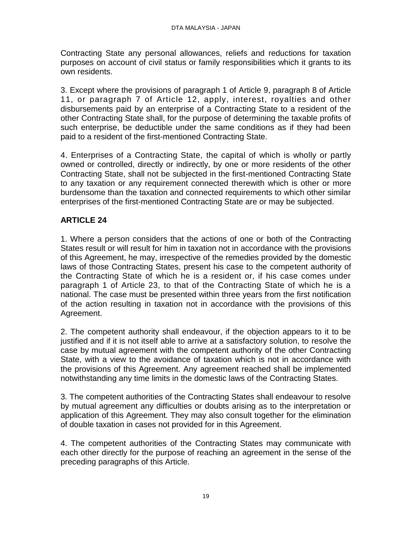Contracting State any personal allowances, reliefs and reductions for taxation purposes on account of civil status or family responsibilities which it grants to its own residents.

3. Except where the provisions of paragraph 1 of Article 9, paragraph 8 of Article 11, or paragraph 7 of Article 12, apply, interest, royalties and other disbursements paid by an enterprise of a Contracting State to a resident of the other Contracting State shall, for the purpose of determining the taxable profits of such enterprise, be deductible under the same conditions as if they had been paid to a resident of the first-mentioned Contracting State.

4. Enterprises of a Contracting State, the capital of which is wholly or partly owned or controlled, directly or indirectly, by one or more residents of the other Contracting State, shall not be subjected in the first-mentioned Contracting State to any taxation or any requirement connected therewith which is other or more burdensome than the taxation and connected requirements to which other similar enterprises of the first-mentioned Contracting State are or may be subjected.

# **ARTICLE 24**

1. Where a person considers that the actions of one or both of the Contracting States result or will result for him in taxation not in accordance with the provisions of this Agreement, he may, irrespective of the remedies provided by the domestic laws of those Contracting States, present his case to the competent authority of the Contracting State of which he is a resident or, if his case comes under paragraph 1 of Article 23, to that of the Contracting State of which he is a national. The case must be presented within three years from the first notification of the action resulting in taxation not in accordance with the provisions of this Agreement.

2. The competent authority shall endeavour, if the objection appears to it to be justified and if it is not itself able to arrive at a satisfactory solution, to resolve the case by mutual agreement with the competent authority of the other Contracting State, with a view to the avoidance of taxation which is not in accordance with the provisions of this Agreement. Any agreement reached shall be implemented notwithstanding any time limits in the domestic laws of the Contracting States.

3. The competent authorities of the Contracting States shall endeavour to resolve by mutual agreement any difficulties or doubts arising as to the interpretation or application of this Agreement. They may also consult together for the elimination of double taxation in cases not provided for in this Agreement.

4. The competent authorities of the Contracting States may communicate with each other directly for the purpose of reaching an agreement in the sense of the preceding paragraphs of this Article.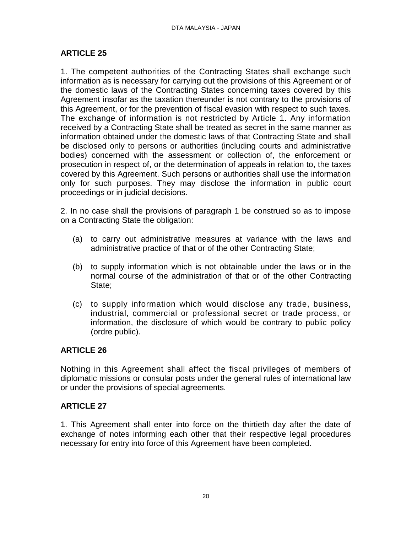#### **ARTICLE 25**

1. The competent authorities of the Contracting States shall exchange such information as is necessary for carrying out the provisions of this Agreement or of the domestic laws of the Contracting States concerning taxes covered by this Agreement insofar as the taxation thereunder is not contrary to the provisions of this Agreement, or for the prevention of fiscal evasion with respect to such taxes. The exchange of information is not restricted by Article 1. Any information received by a Contracting State shall be treated as secret in the same manner as information obtained under the domestic laws of that Contracting State and shall be disclosed only to persons or authorities (including courts and administrative bodies) concerned with the assessment or collection of, the enforcement or prosecution in respect of, or the determination of appeals in relation to, the taxes covered by this Agreement. Such persons or authorities shall use the information only for such purposes. They may disclose the information in public court proceedings or in judicial decisions.

2. In no case shall the provisions of paragraph 1 be construed so as to impose on a Contracting State the obligation:

- (a) to carry out administrative measures at variance with the laws and administrative practice of that or of the other Contracting State;
- (b) to supply information which is not obtainable under the laws or in the normal course of the administration of that or of the other Contracting State;
- (c) to supply information which would disclose any trade, business, industrial, commercial or professional secret or trade process, or information, the disclosure of which would be contrary to public policy (ordre public).

#### **ARTICLE 26**

Nothing in this Agreement shall affect the fiscal privileges of members of diplomatic missions or consular posts under the general rules of international law or under the provisions of special agreements.

#### **ARTICLE 27**

1. This Agreement shall enter into force on the thirtieth day after the date of exchange of notes informing each other that their respective legal procedures necessary for entry into force of this Agreement have been completed.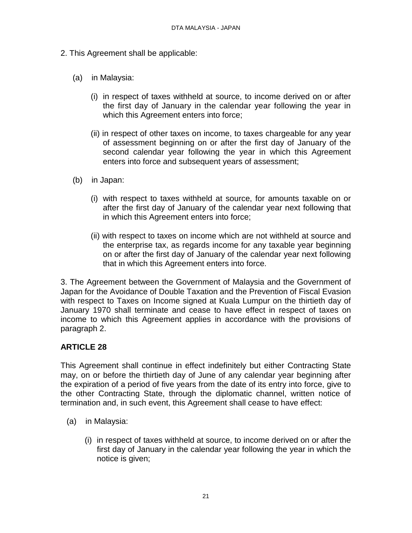- 2. This Agreement shall be applicable:
	- (a) in Malaysia:
		- (i) in respect of taxes withheld at source, to income derived on or after the first day of January in the calendar year following the year in which this Agreement enters into force;
		- (ii) in respect of other taxes on income, to taxes chargeable for any year of assessment beginning on or after the first day of January of the second calendar year following the year in which this Agreement enters into force and subsequent years of assessment;
	- (b) in Japan:
		- (i) with respect to taxes withheld at source, for amounts taxable on or after the first day of January of the calendar year next following that in which this Agreement enters into force;
		- (ii) with respect to taxes on income which are not withheld at source and the enterprise tax, as regards income for any taxable year beginning on or after the first day of January of the calendar year next following that in which this Agreement enters into force.

3. The Agreement between the Government of Malaysia and the Government of Japan for the Avoidance of Double Taxation and the Prevention of Fiscal Evasion with respect to Taxes on Income signed at Kuala Lumpur on the thirtieth day of January 1970 shall terminate and cease to have effect in respect of taxes on income to which this Agreement applies in accordance with the provisions of paragraph 2.

# **ARTICLE 28**

This Agreement shall continue in effect indefinitely but either Contracting State may, on or before the thirtieth day of June of any calendar year beginning after the expiration of a period of five years from the date of its entry into force, give to the other Contracting State, through the diplomatic channel, written notice of termination and, in such event, this Agreement shall cease to have effect:

- (a) in Malaysia:
	- (i) in respect of taxes withheld at source, to income derived on or after the first day of January in the calendar year following the year in which the notice is given;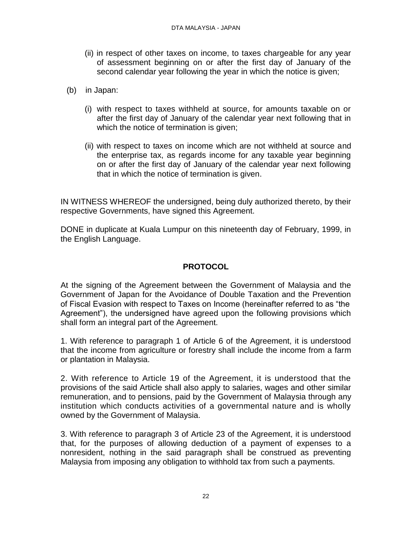- (ii) in respect of other taxes on income, to taxes chargeable for any year of assessment beginning on or after the first day of January of the second calendar year following the year in which the notice is given;
- (b) in Japan:
	- (i) with respect to taxes withheld at source, for amounts taxable on or after the first day of January of the calendar year next following that in which the notice of termination is given;
	- (ii) with respect to taxes on income which are not withheld at source and the enterprise tax, as regards income for any taxable year beginning on or after the first day of January of the calendar year next following that in which the notice of termination is given.

IN WITNESS WHEREOF the undersigned, being duly authorized thereto, by their respective Governments, have signed this Agreement.

DONE in duplicate at Kuala Lumpur on this nineteenth day of February, 1999, in the English Language.

# **PROTOCOL**

At the signing of the Agreement between the Government of Malaysia and the Government of Japan for the Avoidance of Double Taxation and the Prevention of Fiscal Evasion with respect to Taxes on Income (hereinafter referred to as "the Agreement"), the undersigned have agreed upon the following provisions which shall form an integral part of the Agreement.

1. With reference to paragraph 1 of Article 6 of the Agreement, it is understood that the income from agriculture or forestry shall include the income from a farm or plantation in Malaysia.

2. With reference to Article 19 of the Agreement, it is understood that the provisions of the said Article shall also apply to salaries, wages and other similar remuneration, and to pensions, paid by the Government of Malaysia through any institution which conducts activities of a governmental nature and is wholly owned by the Government of Malaysia.

3. With reference to paragraph 3 of Article 23 of the Agreement, it is understood that, for the purposes of allowing deduction of a payment of expenses to a nonresident, nothing in the said paragraph shall be construed as preventing Malaysia from imposing any obligation to withhold tax from such a payments.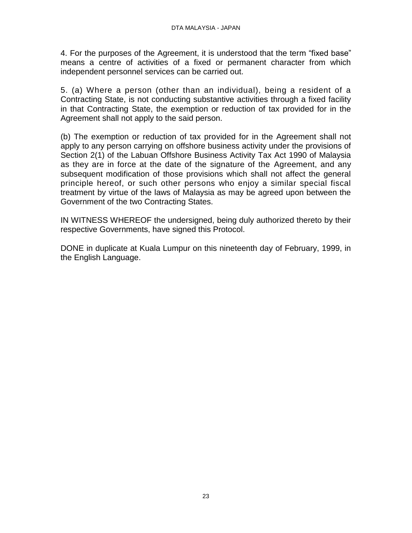4. For the purposes of the Agreement, it is understood that the term "fixed base" means a centre of activities of a fixed or permanent character from which independent personnel services can be carried out.

5. (a) Where a person (other than an individual), being a resident of a Contracting State, is not conducting substantive activities through a fixed facility in that Contracting State, the exemption or reduction of tax provided for in the Agreement shall not apply to the said person.

(b) The exemption or reduction of tax provided for in the Agreement shall not apply to any person carrying on offshore business activity under the provisions of Section 2(1) of the Labuan Offshore Business Activity Tax Act 1990 of Malaysia as they are in force at the date of the signature of the Agreement, and any subsequent modification of those provisions which shall not affect the general principle hereof, or such other persons who enjoy a similar special fiscal treatment by virtue of the laws of Malaysia as may be agreed upon between the Government of the two Contracting States.

IN WITNESS WHEREOF the undersigned, being duly authorized thereto by their respective Governments, have signed this Protocol.

DONE in duplicate at Kuala Lumpur on this nineteenth day of February, 1999, in the English Language.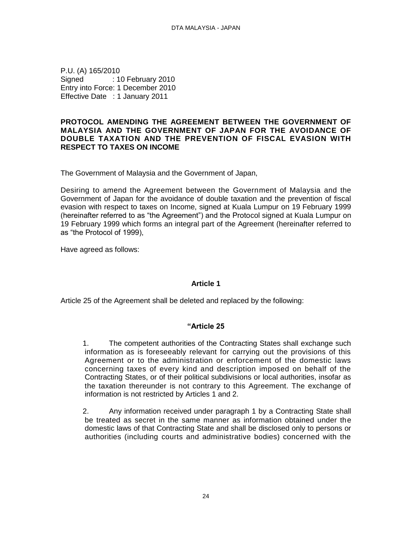P.U. (A) 165/2010 Signed : 10 February 2010 Entry into Force: 1 December 2010 Effective Date : 1 January 2011

#### <span id="page-23-0"></span>**PROTOCOL AMENDING THE AGREEMENT BETWEEN THE GOVERNMENT OF MALAYSIA AND THE GOVERNMENT OF JAPAN FOR THE AVOIDANCE OF DOUBLE TAXATION AND THE PREVENTION OF FISCAL EVASION WITH RESPECT TO TAXES ON INCOME**

The Government of Malaysia and the Government of Japan,

Desiring to amend the Agreement between the Government of Malaysia and the Government of Japan for the avoidance of double taxation and the prevention of fiscal evasion with respect to taxes on Income, signed at Kuala Lumpur on 19 February 1999 (hereinafter referred to as "the Agreement") and the Protocol signed at Kuala Lumpur on 19 February 1999 which forms an integral part of the Agreement (hereinafter referred to as "the Protocol of 1999),

Have agreed as follows:

#### **Article 1**

Article 25 of the Agreement shall be deleted and replaced by the following:

#### **"Article 25**

1. The competent authorities of the Contracting States shall exchange such information as is foreseeably relevant for carrying out the provisions of this Agreement or to the administration or enforcement of the domestic laws concerning taxes of every kind and description imposed on behalf of the Contracting States, or of their political subdivisions or local authorities, insofar as the taxation thereunder is not contrary to this Agreement. The exchange of information is not restricted by Articles 1 and 2.

2. Any information received under paragraph 1 by a Contracting State shall be treated as secret in the same manner as information obtained under the domestic laws of that Contracting State and shall be disclosed only to persons or authorities (including courts and administrative bodies) concerned with the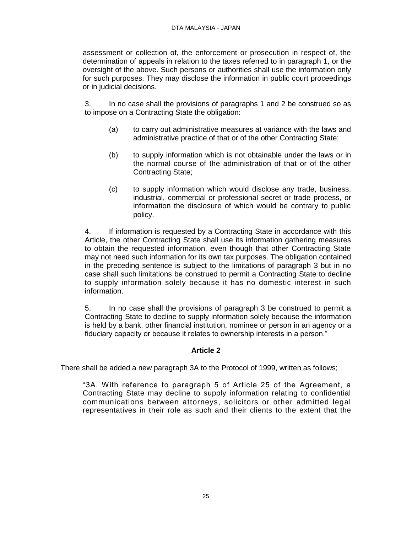assessment or collection of, the enforcement or prosecution in respect of, the determination of appeals in relation to the taxes referred to in paragraph 1, or the oversight of the above. Such persons or authorities shall use the information only for such purposes. They may disclose the information in public court proceedings or in judicial decisions.

3. In no case shall the provisions of paragraphs 1 and 2 be construed so as to impose on a Contracting State the obligation:

- (a) to carry out administrative measures at variance with the laws and administrative practice of that or of the other Contracting State;
- (b) to supply information which is not obtainable under the laws or in the normal course of the administration of that or of the other Contracting State;
- (c) to supply information which would disclose any trade, business, industrial, commercial or professional secret or trade process, or information the disclosure of which would be contrary to public policy.

4. If information is requested by a Contracting State in accordance with this Article, the other Contracting State shall use its information gathering measures to obtain the requested information, even though that other Contracting State may not need such information for its own tax purposes. The obligation contained in the preceding sentence is subject to the limitations of paragraph 3 but in no case shall such limitations be construed to permit a Contracting State to decline to supply information solely because it has no domestic interest in such information.

5. In no case shall the provisions of paragraph 3 be construed to permit a Contracting State to decline to supply information solely because the information is held by a bank, other financial institution, nominee or person in an agency or a fiduciary capacity or because it relates to ownership interests in a person."

#### **Article 2**

There shall be added a new paragraph 3A to the Protocol of 1999, written as follows;

"3A. With reference to paragraph 5 of Article 25 of the Agreement, a Contracting State may decline to supply information relating to confidential communications between attorneys, solicitors or other admitted legal representatives in their role as such and their clients to the extent that the